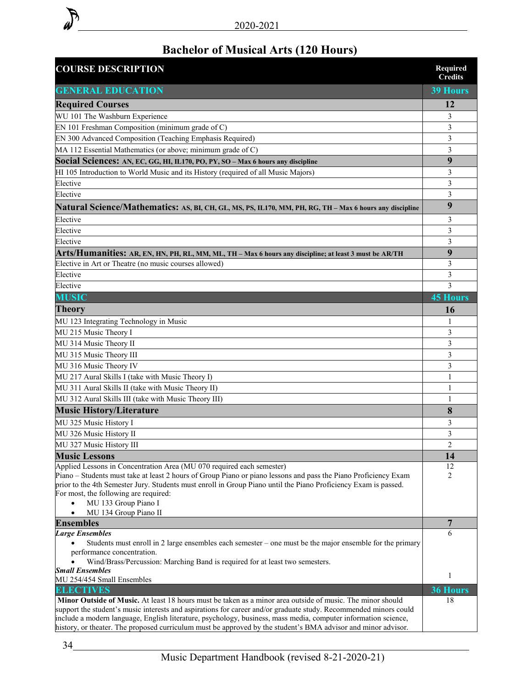

## **Bachelor of Musical Arts (120 Hours)**

| <b>COURSE DESCRIPTION</b>                                                                                                                                                                                                                                                                                                                           | Required<br><b>Credits</b> |
|-----------------------------------------------------------------------------------------------------------------------------------------------------------------------------------------------------------------------------------------------------------------------------------------------------------------------------------------------------|----------------------------|
| <b>GENERAL EDUCATION</b>                                                                                                                                                                                                                                                                                                                            | <b>39 Hours</b>            |
| <b>Required Courses</b>                                                                                                                                                                                                                                                                                                                             | 12                         |
| WU 101 The Washburn Experience                                                                                                                                                                                                                                                                                                                      | 3                          |
| EN 101 Freshman Composition (minimum grade of C)                                                                                                                                                                                                                                                                                                    | 3                          |
| EN 300 Advanced Composition (Teaching Emphasis Required)                                                                                                                                                                                                                                                                                            | 3                          |
| MA 112 Essential Mathematics (or above; minimum grade of C)                                                                                                                                                                                                                                                                                         | 3                          |
| Social Sciences: AN, EC, GG, HI, IL170, PO, PY, SO - Max 6 hours any discipline                                                                                                                                                                                                                                                                     | 9                          |
| HI 105 Introduction to World Music and its History (required of all Music Majors)                                                                                                                                                                                                                                                                   | 3                          |
| Elective                                                                                                                                                                                                                                                                                                                                            | 3                          |
| Elective                                                                                                                                                                                                                                                                                                                                            | 3                          |
| Natural Science/Mathematics: AS, BI, CH, GL, MS, PS, IL170, MM, PH, RG, TH - Max 6 hours any discipline                                                                                                                                                                                                                                             | 9                          |
| Elective                                                                                                                                                                                                                                                                                                                                            | 3                          |
| Elective                                                                                                                                                                                                                                                                                                                                            | 3                          |
| Elective                                                                                                                                                                                                                                                                                                                                            | 3                          |
| Arts/Humanities: AR, EN, HN, PH, RL, MM, ML, TH – Max 6 hours any discipline; at least 3 must be AR/TH                                                                                                                                                                                                                                              | 9                          |
| Elective in Art or Theatre (no music courses allowed)                                                                                                                                                                                                                                                                                               | 3                          |
| Elective                                                                                                                                                                                                                                                                                                                                            | 3                          |
| Elective                                                                                                                                                                                                                                                                                                                                            | 3                          |
| <b>MUSIC</b>                                                                                                                                                                                                                                                                                                                                        | <b>45 Hours</b>            |
| <b>Theory</b>                                                                                                                                                                                                                                                                                                                                       | 16                         |
| MU 123 Integrating Technology in Music                                                                                                                                                                                                                                                                                                              | 1                          |
| MU 215 Music Theory I                                                                                                                                                                                                                                                                                                                               | 3                          |
| MU 314 Music Theory II                                                                                                                                                                                                                                                                                                                              | 3                          |
| MU 315 Music Theory III                                                                                                                                                                                                                                                                                                                             | 3                          |
| MU 316 Music Theory IV                                                                                                                                                                                                                                                                                                                              | 3                          |
| MU 217 Aural Skills I (take with Music Theory I)                                                                                                                                                                                                                                                                                                    | 1                          |
| MU 311 Aural Skills II (take with Music Theory II)                                                                                                                                                                                                                                                                                                  | $\mathbf{1}$               |
| MU 312 Aural Skills III (take with Music Theory III)                                                                                                                                                                                                                                                                                                | 1                          |
| <b>Music History/Literature</b>                                                                                                                                                                                                                                                                                                                     | 8                          |
| MU 325 Music History I                                                                                                                                                                                                                                                                                                                              | 3                          |
| MU 326 Music History II                                                                                                                                                                                                                                                                                                                             | 3                          |
| MU 327 Music History III                                                                                                                                                                                                                                                                                                                            | $\overline{2}$             |
| <b>Music Lessons</b>                                                                                                                                                                                                                                                                                                                                | 14                         |
| Applied Lessons in Concentration Area (MU 070 required each semester)                                                                                                                                                                                                                                                                               | 12                         |
| Piano – Students must take at least 2 hours of Group Piano or piano lessons and pass the Piano Proficiency Exam                                                                                                                                                                                                                                     | 2                          |
| prior to the 4th Semester Jury. Students must enroll in Group Piano until the Piano Proficiency Exam is passed.<br>For most, the following are required:                                                                                                                                                                                            |                            |
| MU 133 Group Piano I<br>$\bullet$                                                                                                                                                                                                                                                                                                                   |                            |
| MU 134 Group Piano II<br>$\bullet$                                                                                                                                                                                                                                                                                                                  |                            |
| <b>Ensembles</b>                                                                                                                                                                                                                                                                                                                                    | 7                          |
| <b>Large Ensembles</b>                                                                                                                                                                                                                                                                                                                              | 6                          |
| Students must enroll in 2 large ensembles each semester – one must be the major ensemble for the primary                                                                                                                                                                                                                                            |                            |
| performance concentration.                                                                                                                                                                                                                                                                                                                          |                            |
| Wind/Brass/Percussion: Marching Band is required for at least two semesters.<br><b>Small Ensembles</b>                                                                                                                                                                                                                                              |                            |
| MU 254/454 Small Ensembles                                                                                                                                                                                                                                                                                                                          | 1                          |
| <b>ELECTIVES</b>                                                                                                                                                                                                                                                                                                                                    | 36 Hours                   |
| Minor Outside of Music. At least 18 hours must be taken as a minor area outside of music. The minor should                                                                                                                                                                                                                                          | 18                         |
| support the student's music interests and aspirations for career and/or graduate study. Recommended minors could<br>include a modern language, English literature, psychology, business, mass media, computer information science,<br>history, or theater. The proposed curriculum must be approved by the student's BMA advisor and minor advisor. |                            |